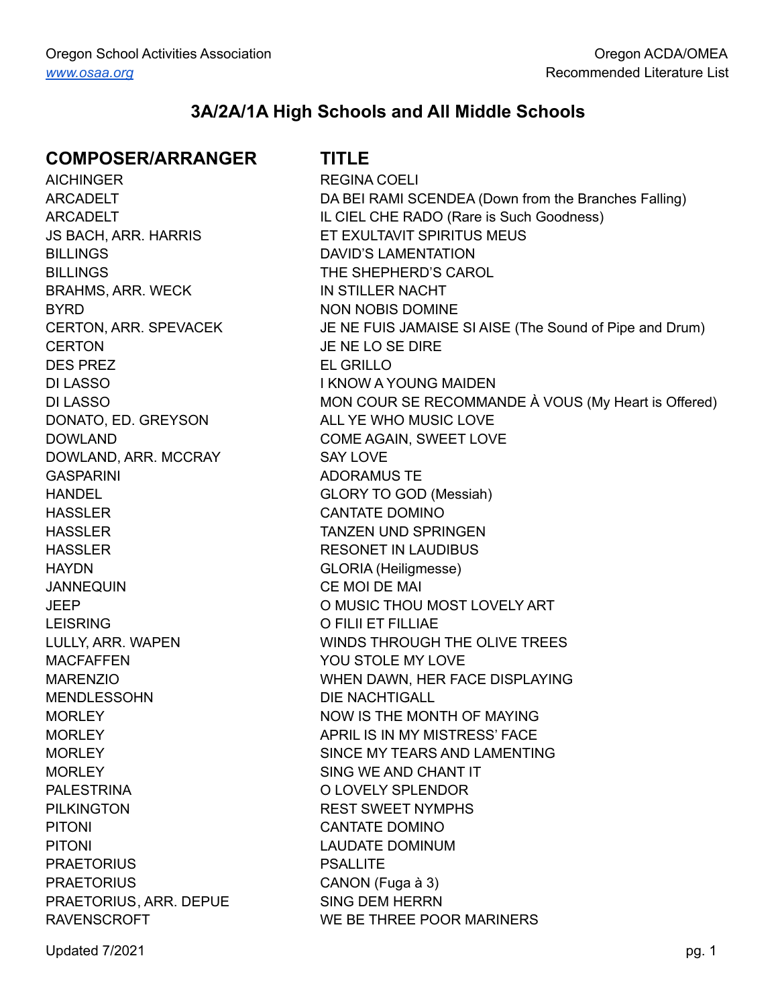## **3A/2A/1A High Schools and All Middle Schools**

#### **COMPOSER/ARRANGER TITLE**

AICHINGER REGINA COELI BILLINGS DAVID'S LAMENTATION BILLINGS THE SHEPHERD'S CAROL BRAHMS, ARR. WECK IN STILLER NACHT BYRD NON NOBIS DOMINE CERTON JE NE LO SE DIRE DES PREZ EL GRILLO DI LASSO I KNOW A YOUNG MAIDEN DONATO, ED. GREYSON ALL YE WHO MUSIC LOVE DOWLAND, ARR. MCCRAY SAY LOVE GASPARINI ADORAMUS TE HANDEL GLORY TO GOD (Messiah) HASSLER CANTATE DOMINO HASSLER TANZEN UND SPRINGEN HASSLER RESONET IN LAUDIBUS HAYDN GLORIA (Heiligmesse) JANNEQUIN CE MOI DE MAI LEISRING O FILII ET FILLIAE MACFAFFEN YOU STOLE MY LOVE MENDLESSOHN DIE NACHTIGALL MORLEY SING WE AND CHANT IT PALESTRINA O LOVELY SPLENDOR PILKINGTON REST SWEET NYMPHS PITONI PITONI CANTATE DOMINO PITONI DI CONTROLLATIONI LAUDATE DOMINUM PRAETORIUS PSALLITE PRAETORIUS CANON (Fuga à 3) PRAETORIUS, ARR. DEPUE SING DEM HERRN

ARCADELT **DA BEI RAMI SCENDEA** (Down from the Branches Falling) ARCADELT IL CIEL CHE RADO (Rare is Such Goodness) JS BACH, ARR. HARRIS ET EXULTAVIT SPIRITUS MEUS CERTON, ARR. SPEVACEK JE NE FUIS JAMAISE SI AISE (The Sound of Pipe and Drum) DI LASSO **MON COUR SE RECOMMANDE À VOUS (My Heart is Offered)** DOWLAND COME AGAIN, SWEET LOVE JEEP O MUSIC THOU MOST LOVELY ART LULLY, ARR. WAPEN WINDS THROUGH THE OLIVE TREES MARENZIO WHEN DAWN, HER FACE DISPLAYING MORLEY NOW IS THE MONTH OF MAYING MORLEY **APRIL IS IN MY MISTRESS' FACE** MORLEY SINCE MY TEARS AND LAMENTING RAVENSCROFT WE BE THREE POOR MARINERS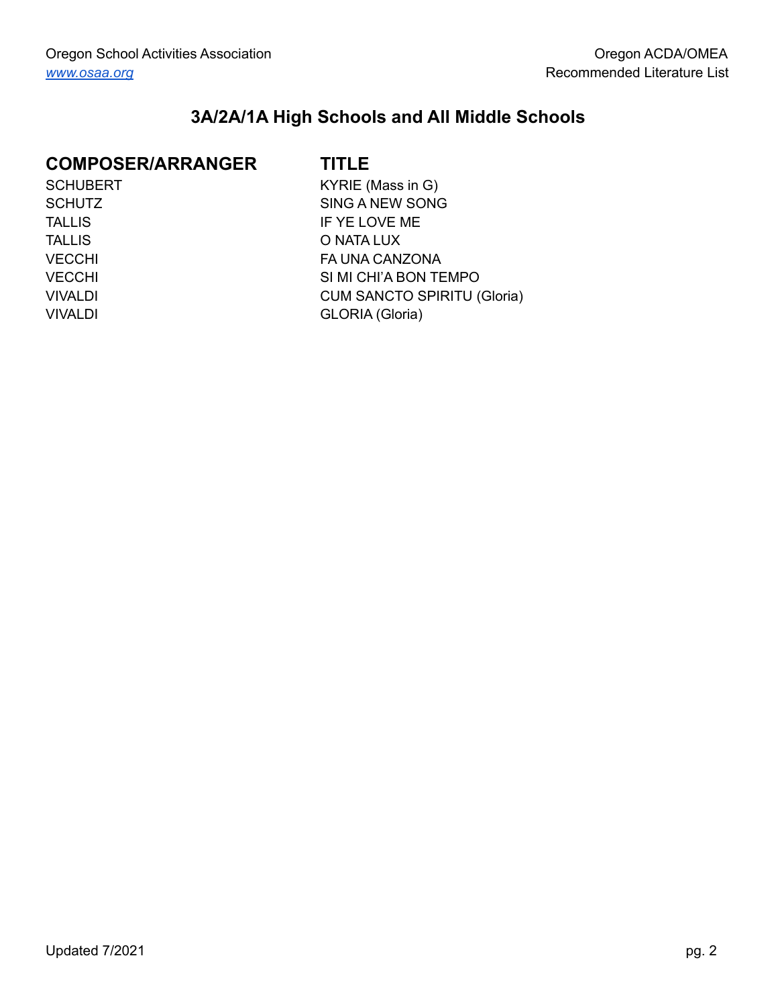## **3A/2A/1A High Schools and All Middle Schools**

## **COMPOSER/ARRANGER TITLE**

| <b>SCHUBERT</b> |
|-----------------|
| <b>SCHUTZ</b>   |
| TALLIS          |
| <b>TALLIS</b>   |
| <b>VECCHI</b>   |
| <b>VECCHI</b>   |
| <b>VIVALDI</b>  |
| <b>VIVALDI</b>  |

T **SCHUBERT KYRIE (Mass in G)** SING A NEW SONG IF YE LOVE ME O NATA LUX FA UNA CANZONA SI MI CHI'A BON TEMPO **CUM SANCTO SPIRITU (Gloria)** GLORIA (Gloria)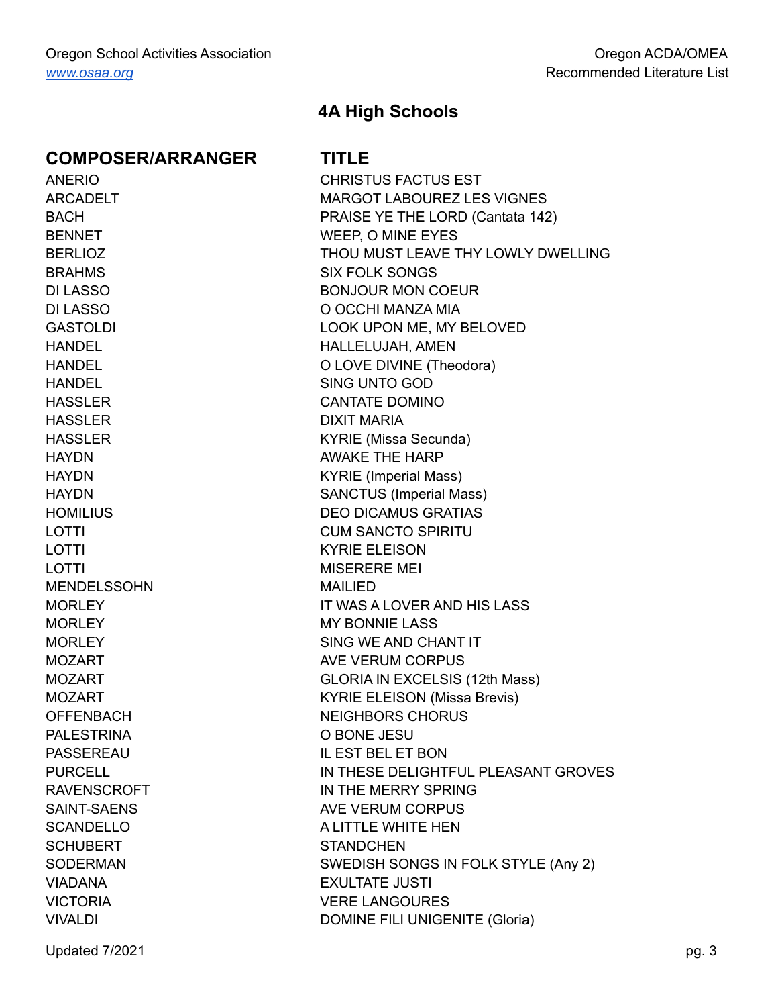BRAHMS SIX FOLK SONGS HANDEL SING UNTO GOD HASSLER DIXIT MARIA LOTTI KYRIE ELEISON LOTTI USERERE MEI MENDELSSOHN MAILIED MORLEY MORE MY BONNIE LASS PALESTRINA O BONE JESU SCHUBERT STANDCHEN VIADANA EXULTATE JUSTI

## **4A High Schools**

ANERIO CHRISTUS FACTUS EST ARCADELT MARGOT LABOUREZ LES VIGNES BACH **PRAISE YE THE LORD (Cantata 142)** BENNET WEEP, O MINE EYES BERLIOZ **THOU MUST LEAVE THY LOWLY DWELLING** DI LASSO BONJOUR MON COEUR DI LASSO O OCCHI MANZA MIA GASTOLDI LOOK UPON ME, MY BELOVED HANDEL HALLELUJAH, AMEN HANDEL O LOVE DIVINE (Theodora) HASSLER CANTATE DOMINO HASSLER KYRIE (Missa Secunda) HAYDN BAY AWAKE THE HARP HAYDN KYRIE (Imperial Mass) HAYDN SANCTUS (Imperial Mass) HOMILIUS DEO DICAMUS GRATIAS LOTTI LOTTI CUM SANCTO SPIRITU MORLEY IT WAS A LOVER AND HIS LASS MORLEY SING WE AND CHANT IT MOZART AVE VERUM CORPUS MOZART GLORIA IN EXCELSIS (12th Mass) MOZART **KYRIE ELEISON** (Missa Brevis) OFFENBACH NEIGHBORS CHORUS PASSEREAU IL EST BEL ET BON PURCELL IN THESE DELIGHTFUL PLEASANT GROVES RAVENSCROFT IN THE MERRY SPRING SAINT-SAENS AVE VERUM CORPUS SCANDELLO A LITTLE WHITE HEN SODERMAN SONEDISH SONGS IN FOLK STYLE (Any 2) VICTORIA VERE LANGOURES VIVALDI DOMINE FILI UNIGENITE (Gloria)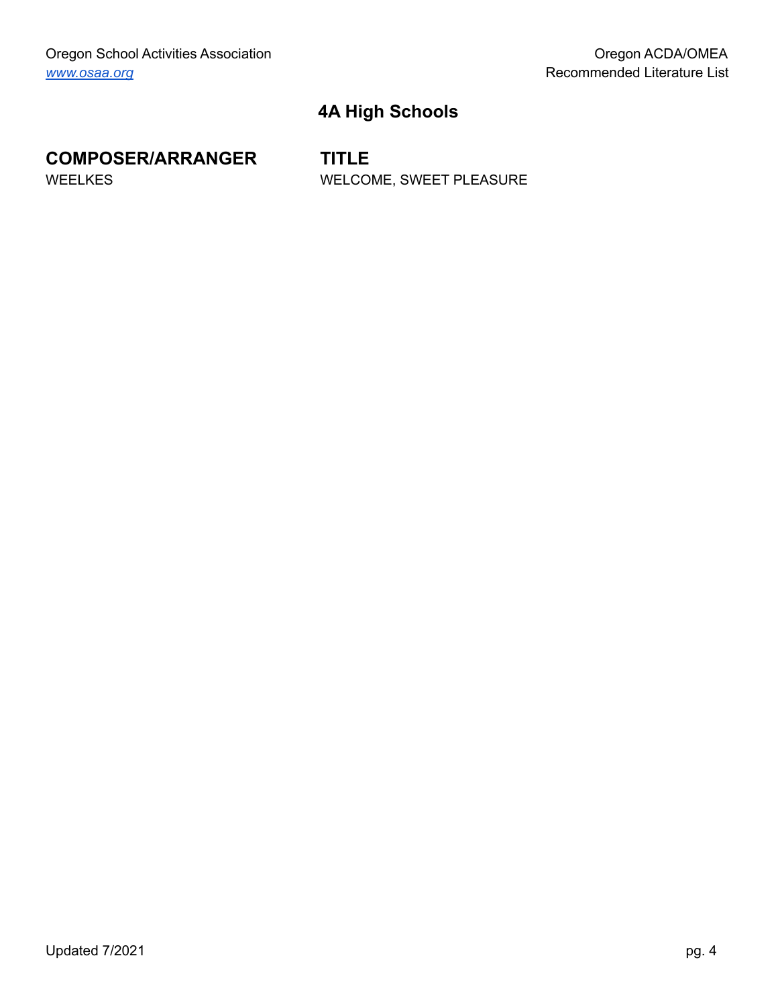# **4A High Schools**

# **COMPOSER/ARRANGER TITLE**

WEELKES WELCOME, SWEET PLEASURE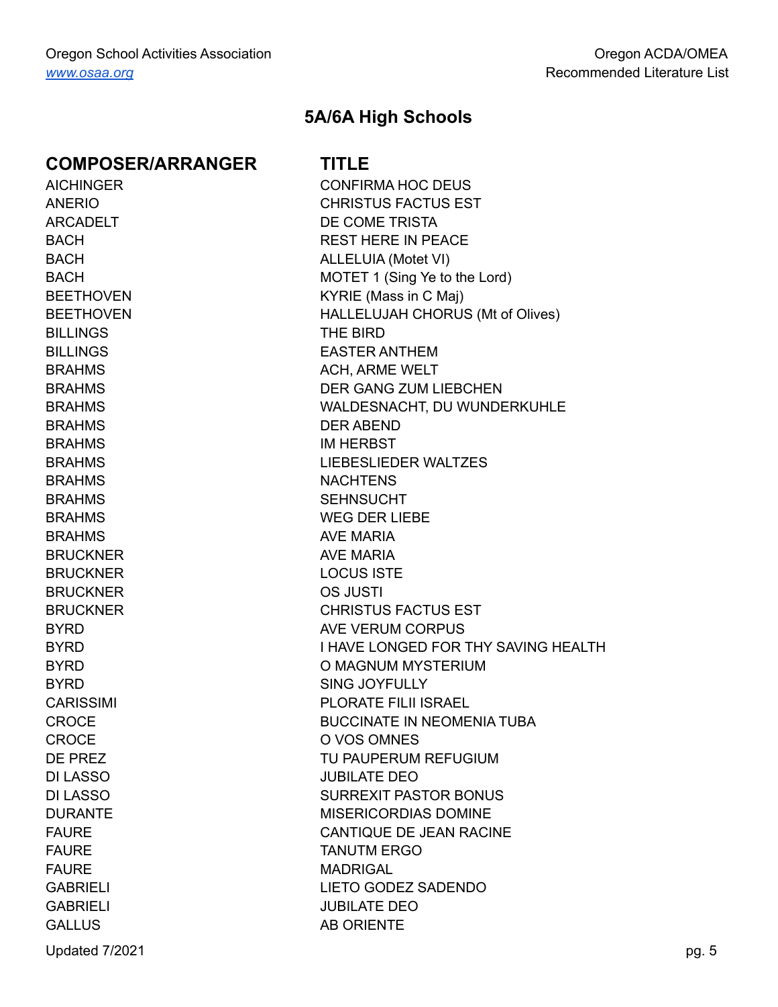BILLINGS THE BIRD BRAHMS DER ABEND BRAHMS IM HERBST BRAHMS NACHTENS BRAHMS SEHNSUCHT BRAHMS AVE MARIA BRUCKNER AVE MARIA BRUCKNER LOCUS ISTE BRUCKNER OS JUSTI CROCE O VOS OMNES DI LASSO JUBILATE DEO FAURE **MADRIGAL** GABRIELI JUBILATE DEO GALLUS AB ORIENTE

## **5A/6A High Schools**

AICHINGER CONFIRMA HOC DEUS ANERIO CHRISTUS FACTUS EST ARCADELT DE COME TRISTA BACH BACH REST HERE IN PEACE BACH BACH ALLELUIA (Motet VI) BACH MOTET 1 (Sing Ye to the Lord) BEETHOVEN KYRIE (Mass in C Maj) BEETHOVEN HALLELUJAH CHORUS (Mt of Olives) BILLINGS EASTER ANTHEM BRAHMS BRAHMS ACH, ARME WELT BRAHMS DER GANG ZUM LIEBCHEN BRAHMS WALDESNACHT, DU WUNDERKUHLE BRAHMS LIEBESLIEDER WALTZES BRAHMS WEG DER LIEBE BRUCKNER CHRISTUS FACTUS EST BYRD BYRD AVE VERUM CORPUS BYRD **I HAVE LONGED FOR THY SAVING HEALTH** BYRD **O MAGNUM MYSTERIUM** BYRD SING JOYFULLY CARISSIMI PLORATE FILII ISRAEL CROCE **BUCCINATE IN NEOMENIA TUBA** DE PREZ TU PAUPERUM REFUGIUM DI LASSO SURREXIT PASTOR BONUS DURANTE MISERICORDIAS DOMINE FAURE CANTIQUE DE JEAN RACINE FAURE TANUTM ERGO GABRIELI LIETO GODEZ SADENDO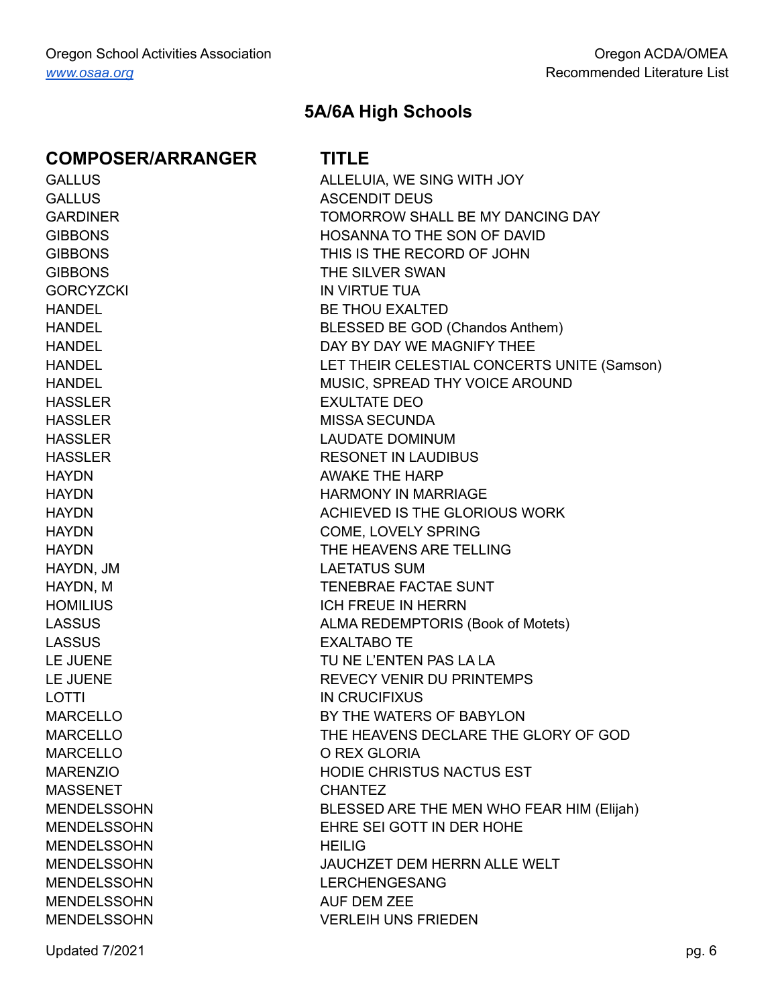GORCYZCKI IN VIRTUE TUA HASSLER EXULTATE DEO HAYDN, JM LAETATUS SUM LASSUS EXALTABO TE LOTTI IN CRUCIFIXUS MARCELLO O REX GLORIA MASSENET CHANTEZ MENDELSSOHN HEILIG MENDELSSOHN AUF DEM ZEE

## **5A/6A High Schools**

GALLUS **ALLELUIA, WE SING WITH JOY** GALLUS ASCENDIT DEUS GARDINER TOMORROW SHALL BE MY DANCING DAY GIBBONS HOSANNA TO THE SON OF DAVID GIBBONS THIS IS THE RECORD OF JOHN GIBBONS THE SILVER SWAN HANDEL BE THOU EXALTED HANDEL BLESSED BE GOD (Chandos Anthem) HANDEL **EXAMPLE 12 THE STATE OF STATE AND REAL PROPERTY OF STATE AND REAL PROPERTY THEE** HANDEL LET THEIR CELESTIAL CONCERTS UNITE (Samson) HANDEL MUSIC, SPREAD THY VOICE AROUND HASSLER MISSA SECUNDA HASSLER LAUDATE DOMINUM HASSLER RESONET IN LAUDIBUS HAYDN BELLET AWAKE THE HARP HAYDN HARMONY IN MARRIAGE HAYDN ACHIEVED IS THE GLORIOUS WORK HAYDN COME, LOVELY SPRING HAYDN THE HEAVENS ARE TELLING HAYDN, M TENEBRAE FACTAE SUNT HOMILIUS ICH FREUE IN HERRN LASSUS **ALMA REDEMPTORIS (Book of Motets)** LE JUENE TU NE L'ENTEN PAS LA LA LE JUENE **REVECY VENIR DU PRINTEMPS** MARCELLO BY THE WATERS OF BABYLON MARCELLO THE HEAVENS DECLARE THE GLORY OF GOD MARENZIO HODIE CHRISTUS NACTUS EST MENDELSSOHN BLESSED ARE THE MEN WHO FEAR HIM (Elijah) MENDELSSOHN EHRE SEI GOTT IN DER HOHE MENDELSSOHN JAUCHZET DEM HERRN ALLE WELT MENDELSSOHN LERCHENGESANG MENDELSSOHN VERLEIH UNS FRIEDEN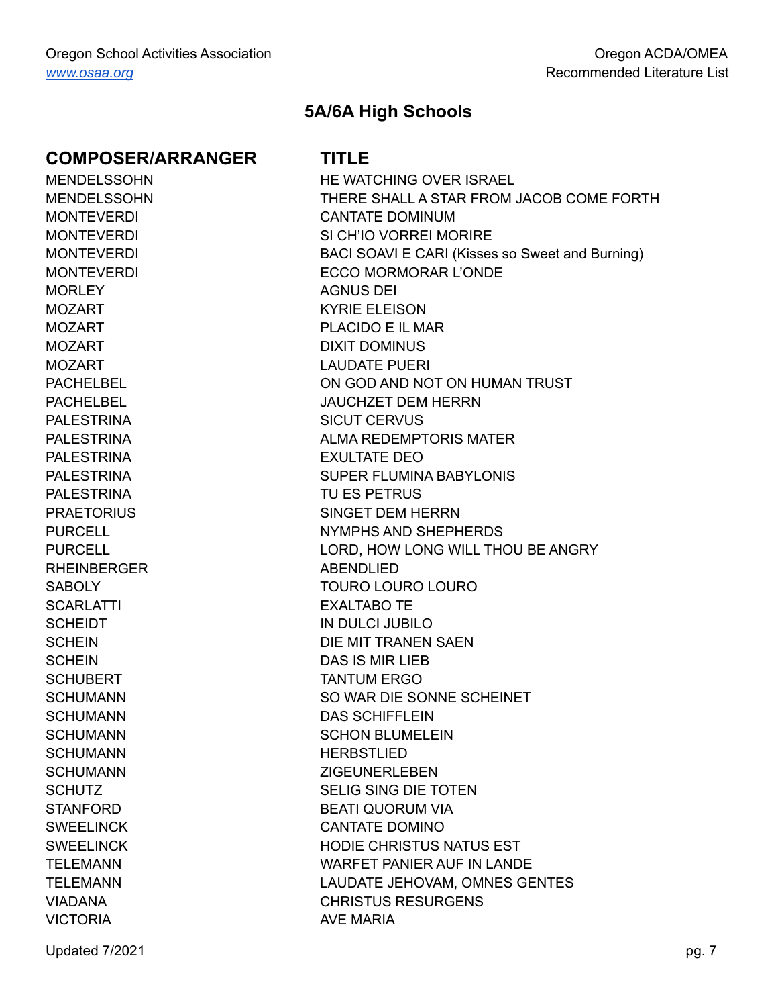MORI FY AGNUS DEI RHEINBERGER ABENDLIED SCARLATTI EXALTABO TE SCHUMANN HERBSTLIED VICTORIA **AVE MARIA** 

## **5A/6A High Schools**

MENDELSSOHN HE WATCHING OVER ISRAEL MENDELSSOHN THERE SHALL A STAR FROM JACOB COME FORTH MONTEVERDI CANTATE DOMINUM MONTEVERDI SI CH'IO VORREI MORIRE MONTEVERDI BACI SOAVI E CARI (Kisses so Sweet and Burning) MONTEVERDI ECCO MORMORAR L'ONDE MOZART KYRIE ELEISON MOZART PLACIDO E IL MAR MOZART DOMINUS MOZART LAUDATE PUERI PACHELBEL ON GOD AND NOT ON HUMAN TRUST PACHELBEL JAUCHZET DEM HERRN PALESTRINA SICUT CERVUS PALESTRINA ALMA REDEMPTORIS MATER PALESTRINA EXULTATE DEO PALESTRINA SUPER FLUMINA BABYLONIS PALESTRINA TU ES PETRUS PRAETORIUS SINGET DEM HERRN PURCELL PURCELL NYMPHS AND SHEPHERDS PURCELL **EXECUTE 2018 THE LORD, HOW LONG WILL THOU BE ANGRY** SABOLY **TOURO LOURO LOURO** SCHEIDT IN DULCI JUBILO SCHEIN DIE MIT TRANEN SAEN SCHEIN DAS IS MIR LIFR SCHUBERT TANTUM ERGO SCHUMANN SO WAR DIE SONNE SCHEINET SCHUMANN DAS SCHIFFLEIN SCHUMANN SCHON BLUMELEIN SCHUMANN ZIGEUNERLEBEN SCHUTZ SCHUTZ SELIG SING DIE TOTEN STANFORD BEATI QUORUM VIA SWEELINCK CANTATE DOMINO SWEELINCK HODIE CHRISTUS NATUS EST TELEMANN WARFET PANIER AUF IN LANDE TELEMANN LAUDATE JEHOVAM, OMNES GENTES VIADANA CHRISTUS RESURGENS